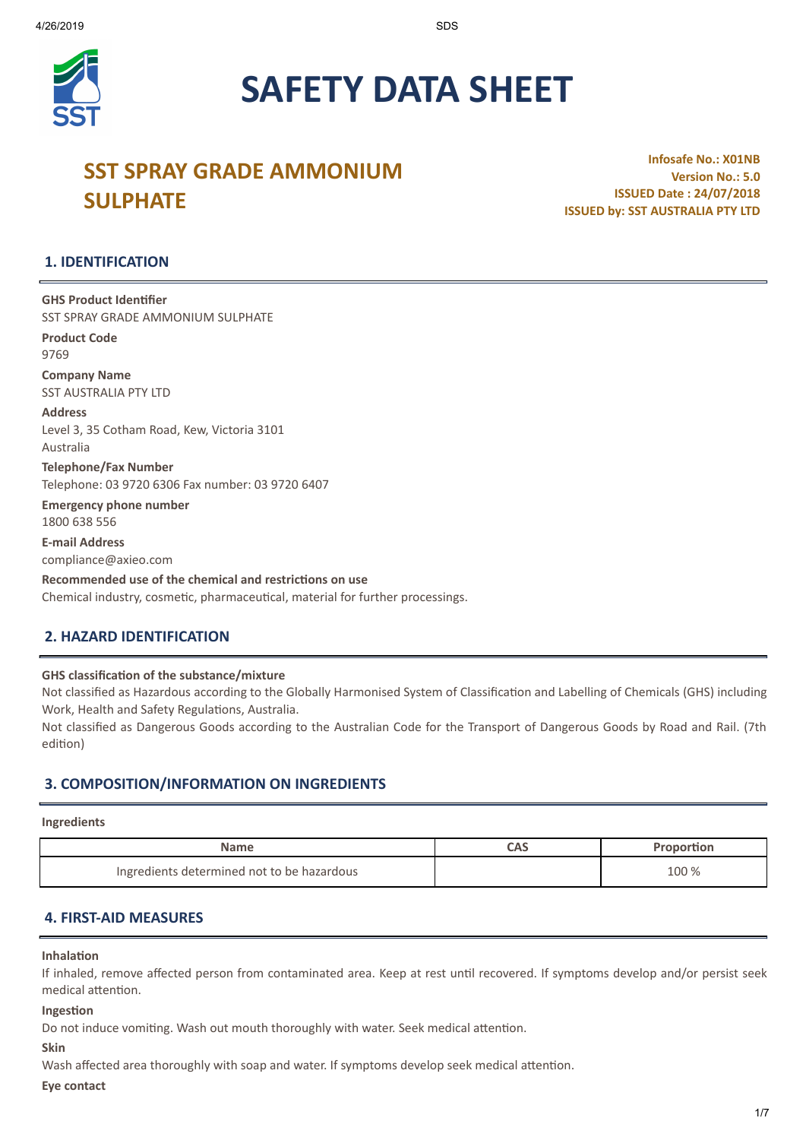

# **SAFETY DATA SHEET**

# **SST SPRAY GRADE AMMONIUM SULPHATE**

**Infosafe No.: X01NB Version No.: 5.0 ISSUED Date : 24/07/2018 ISSUED by: SST AUSTRALIA PTY LTD**

# **1. IDENTIFICATION**

**GHS Product Idenfier** SST SPRAY GRADE AMMONIUM SULPHATE

**Product Code** 9769 **Company Name**

SST AUSTRALIA PTY LTD **Address**

Level 3, 35 Cotham Road, Kew, Victoria 3101 Australia

**Telephone/Fax Number** Telephone: 03 9720 6306 Fax number: 03 9720 6407

**Emergency phone number** 1800 638 556

**E-mail Address** compliance@axieo.com

**Recommended use of the chemical and restricons on use** Chemical industry, cosmetic, pharmaceutical, material for further processings.

# **2. HAZARD IDENTIFICATION**

**GHS** classification of the substance/mixture

Not classified as Hazardous according to the Globally Harmonised System of Classification and Labelling of Chemicals (GHS) including Work, Health and Safety Regulations, Australia.

Not classified as Dangerous Goods according to the Australian Code for the Transport of Dangerous Goods by Road and Rail. (7th edition)

# **3. COMPOSITION/INFORMATION ON INGREDIENTS**

#### **Ingredients**

| <b>Name</b>                                | CAS | Proportion |
|--------------------------------------------|-----|------------|
| Ingredients determined not to be hazardous |     | 100 %      |

# **4. FIRST-AID MEASURES**

#### **Inhalation**

If inhaled, remove affected person from contaminated area. Keep at rest until recovered. If symptoms develop and/or persist seek medical attention.

**Ingestion** 

Do not induce vomiting. Wash out mouth thoroughly with water. Seek medical attention.

#### **Skin**

Wash affected area thoroughly with soap and water. If symptoms develop seek medical attention.

#### **Eye contact**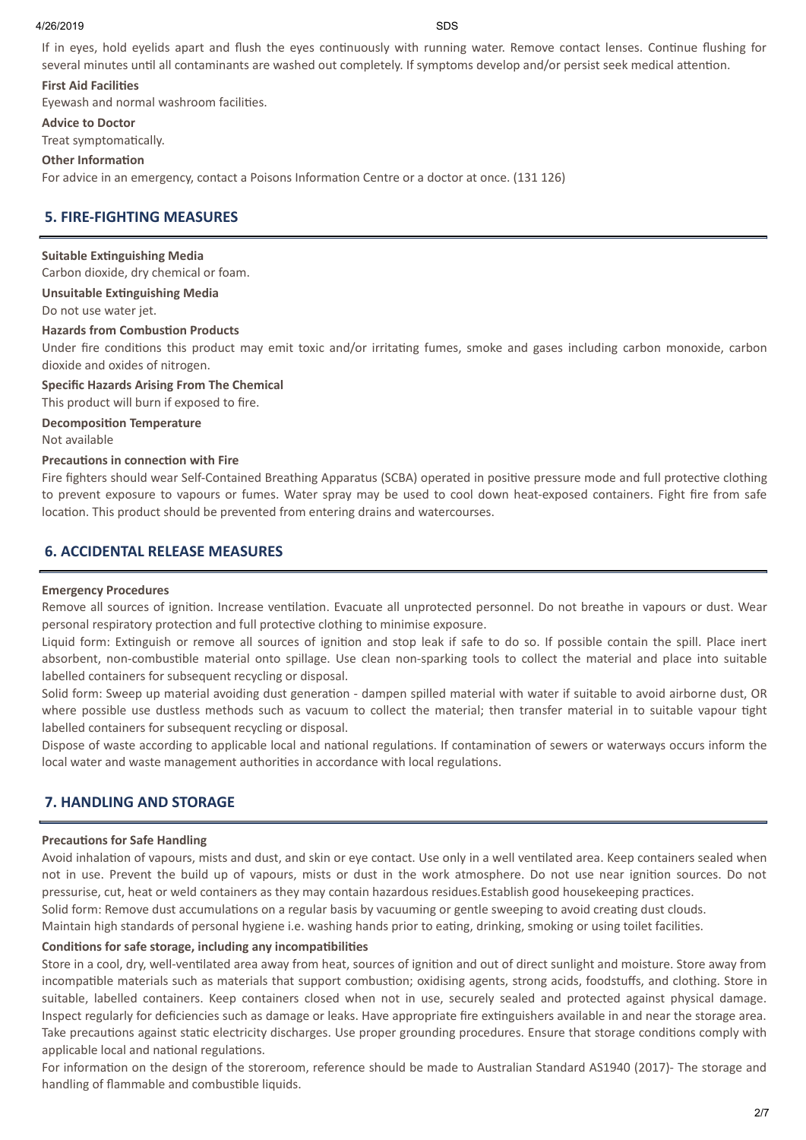#### 4/26/2019 SDS

If in eyes, hold eyelids apart and flush the eyes continuously with running water. Remove contact lenses. Continue flushing for several minutes until all contaminants are washed out completely. If symptoms develop and/or persist seek medical attention.

#### **First Aid Facilies**

Eyewash and normal washroom facilities.

**Advice to Doctor**

Treat symptomatically.

#### **Other Information**

For advice in an emergency, contact a Poisons Information Centre or a doctor at once. (131 126)

# **5. FIRE-FIGHTING MEASURES**

#### **Suitable Extinguishing Media**

Carbon dioxide, dry chemical or foam.

**Unsuitable Extinguishing Media** 

Do not use water jet.

#### **Hazards** from **Combustion** Products

Under fire conditions this product may emit toxic and/or irritating fumes, smoke and gases including carbon monoxide, carbon dioxide and oxides of nitrogen.

**Specific Hazards Arising From The Chemical**

This product will burn if exposed to fire.

**Decomposition Temperature** Not available

#### **Precautions in connection with Fire**

Fire fighters should wear Self-Contained Breathing Apparatus (SCBA) operated in positive pressure mode and full protective clothing to prevent exposure to vapours or fumes. Water spray may be used to cool down heat-exposed containers. Fight fire from safe location. This product should be prevented from entering drains and watercourses.

#### **6. ACCIDENTAL RELEASE MEASURES**

#### **Emergency Procedures**

Remove all sources of ignition. Increase ventilation. Evacuate all unprotected personnel. Do not breathe in vapours or dust. Wear personal respiratory protection and full protective clothing to minimise exposure.

Liquid form: Extinguish or remove all sources of ignition and stop leak if safe to do so. If possible contain the spill. Place inert absorbent, non-combustible material onto spillage. Use clean non-sparking tools to collect the material and place into suitable labelled containers for subsequent recycling or disposal.

Solid form: Sweep up material avoiding dust generation - dampen spilled material with water if suitable to avoid airborne dust, OR where possible use dustless methods such as vacuum to collect the material; then transfer material in to suitable vapour tight labelled containers for subsequent recycling or disposal.

Dispose of waste according to applicable local and national regulations. If contamination of sewers or waterways occurs inform the local water and waste management authorities in accordance with local regulations.

## **7. HANDLING AND STORAGE**

#### **Precautions for Safe Handling**

Avoid inhalation of vapours, mists and dust, and skin or eye contact. Use only in a well ventilated area. Keep containers sealed when not in use. Prevent the build up of vapours, mists or dust in the work atmosphere. Do not use near ignition sources. Do not pressurise, cut, heat or weld containers as they may contain hazardous residues.Establish good housekeeping practices.

Solid form: Remove dust accumulations on a regular basis by vacuuming or gentle sweeping to avoid creating dust clouds.

Maintain high standards of personal hygiene i.e. washing hands prior to eating, drinking, smoking or using toilet facilities.

#### **Conditions for safe storage, including any incompatibilities**

Store in a cool, dry, well-ventilated area away from heat, sources of ignition and out of direct sunlight and moisture. Store away from incompatible materials such as materials that support combustion; oxidising agents, strong acids, foodstuffs, and clothing. Store in suitable, labelled containers. Keep containers closed when not in use, securely sealed and protected against physical damage. Inspect regularly for deficiencies such as damage or leaks. Have appropriate fire extinguishers available in and near the storage area. Take precautions against static electricity discharges. Use proper grounding procedures. Ensure that storage conditions comply with applicable local and national regulations.

For information on the design of the storeroom, reference should be made to Australian Standard AS1940 (2017)- The storage and handling of flammable and combustible liquids.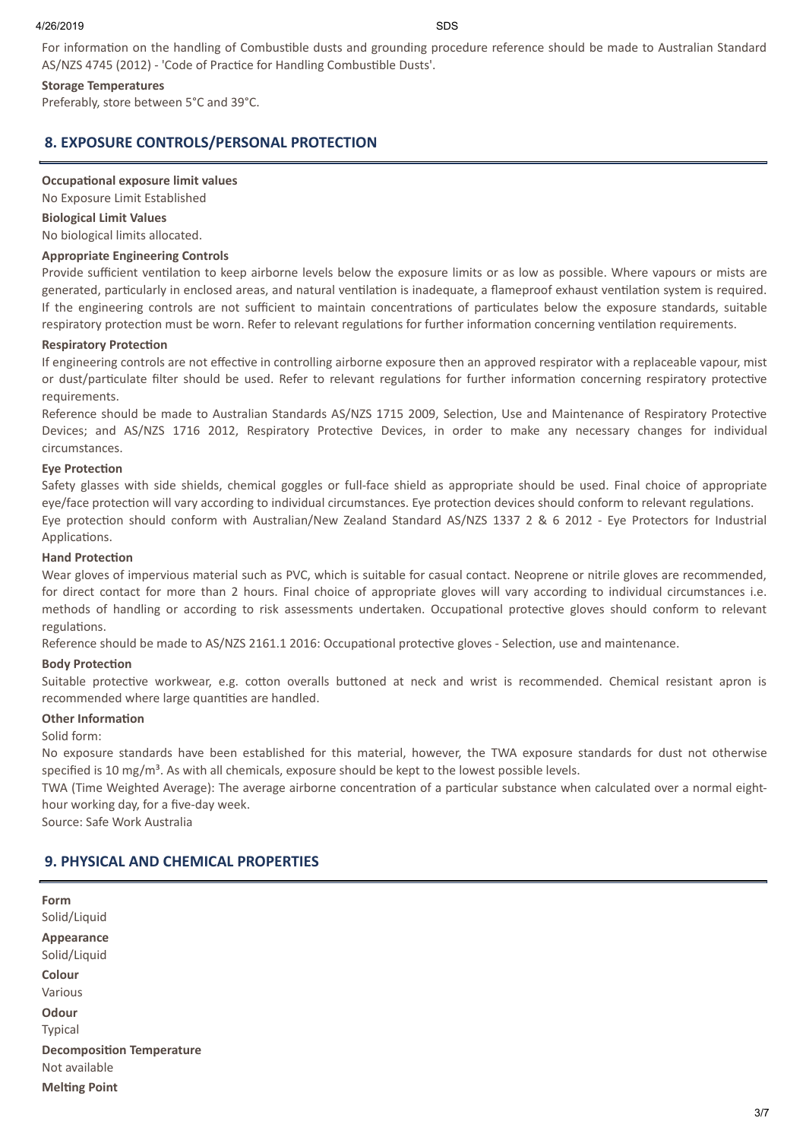For information on the handling of Combustible dusts and grounding procedure reference should be made to Australian Standard AS/NZS 4745 (2012) - 'Code of Practice for Handling Combustible Dusts'.

#### **Storage Temperatures**

Preferably, store between 5°C and 39°C.

# **8. EXPOSURE CONTROLS/PERSONAL PROTECTION**

#### **Occupational exposure limit values**

No Exposure Limit Established

# **Biological Limit Values**

No biological limits allocated.

#### **Appropriate Engineering Controls**

Provide sufficient ventilation to keep airborne levels below the exposure limits or as low as possible. Where vapours or mists are generated, particularly in enclosed areas, and natural ventilation is inadequate, a flameproof exhaust ventilation system is required. If the engineering controls are not sufficient to maintain concentrations of particulates below the exposure standards, suitable respiratory protection must be worn. Refer to relevant regulations for further information concerning ventilation requirements.

#### **Respiratory Protection**

If engineering controls are not effective in controlling airborne exposure then an approved respirator with a replaceable vapour, mist or dust/particulate filter should be used. Refer to relevant regulations for further information concerning respiratory protective requirements.

Reference should be made to Australian Standards AS/NZS 1715 2009, Selection, Use and Maintenance of Respiratory Protective Devices; and AS/NZS 1716 2012, Respiratory Protective Devices, in order to make any necessary changes for individual circumstances.

### **Eve Protection**

Safety glasses with side shields, chemical goggles or full-face shield as appropriate should be used. Final choice of appropriate eye/face protection will vary according to individual circumstances. Eye protection devices should conform to relevant regulations. Eye protection should conform with Australian/New Zealand Standard AS/NZS 1337 2 & 6 2012 - Eye Protectors for Industrial Applications.

#### **Hand Protection**

Wear gloves of impervious material such as PVC, which is suitable for casual contact. Neoprene or nitrile gloves are recommended, for direct contact for more than 2 hours. Final choice of appropriate gloves will vary according to individual circumstances i.e. methods of handling or according to risk assessments undertaken. Occupational protective gloves should conform to relevant regulations.

Reference should be made to AS/NZS 2161.1 2016: Occupational protective gloves - Selection, use and maintenance.

#### **Body Protection**

Suitable protective workwear, e.g. cotton overalls buttoned at neck and wrist is recommended. Chemical resistant apron is recommended where large quantities are handled.

#### **Other Information**

#### Solid form:

No exposure standards have been established for this material, however, the TWA exposure standards for dust not otherwise specified is 10 mg/m<sup>3</sup>. As with all chemicals, exposure should be kept to the lowest possible levels.

TWA (Time Weighted Average): The average airborne concentration of a particular substance when calculated over a normal eighthour working day, for a five-day week.

Source: Safe Work Australia

# **9. PHYSICAL AND CHEMICAL PROPERTIES**

| Form<br>Solid/Liquid                              |  |  |  |
|---------------------------------------------------|--|--|--|
| Appearance<br>Solid/Liquid                        |  |  |  |
| Colour<br>Various                                 |  |  |  |
| Odour<br><b>Typical</b>                           |  |  |  |
| <b>Decomposition Temperature</b><br>Not available |  |  |  |
| <b>Melting Point</b>                              |  |  |  |
|                                                   |  |  |  |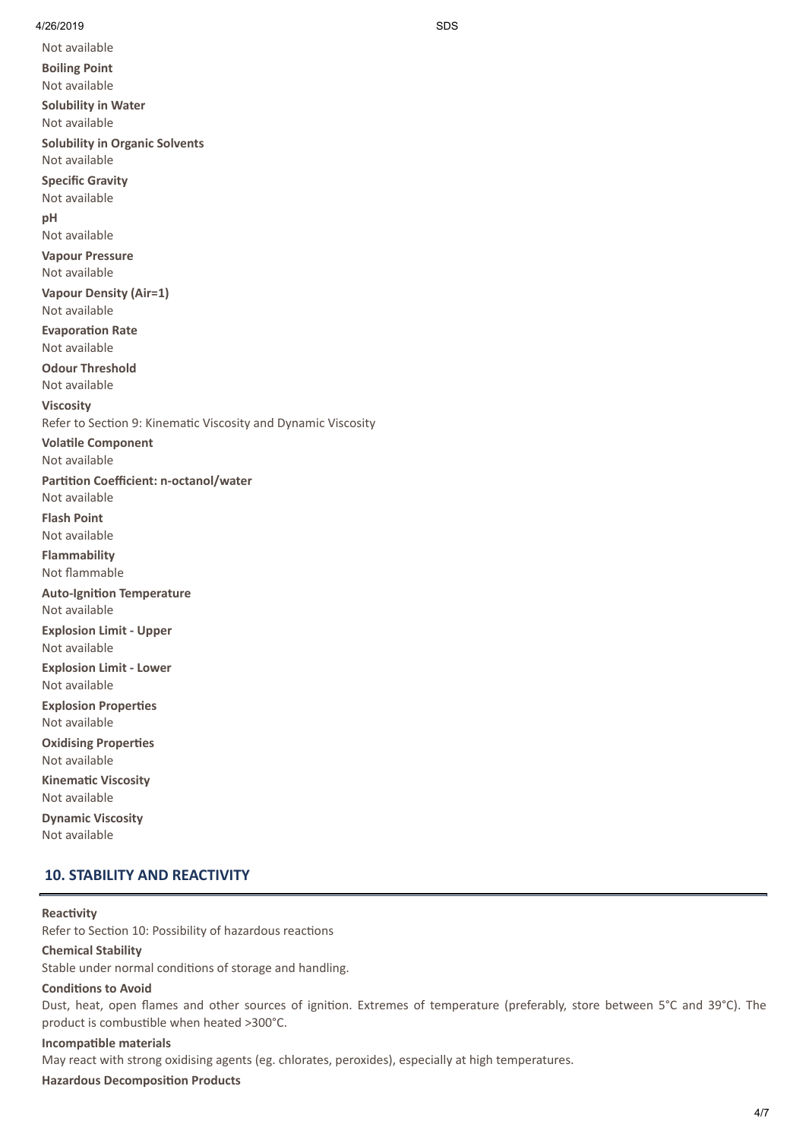Not available

**Boiling Point** Not available **Solubility in Water** Not available **Solubility in Organic Solvents** Not available **Specific Gravity** Not available **pH** Not available **Vapour Pressure** Not available **Vapour Density (Air=1)** Not available **Evaporation Rate** Not available **Odour Threshold** Not available **Viscosity** Refer to Section 9: Kinematic Viscosity and Dynamic Viscosity **Volatile Component** Not available **Partition Coefficient: n-octanol/water** Not available **Flash Point** Not available **Flammability** Not flammable **Auto-Ignition Temperature** Not available **Explosion Limit - Upper** Not available **Explosion Limit - Lower** Not available **Explosion Properties** Not available **Oxidising Properties** Not available **Kinematic Viscosity** Not available **Dynamic Viscosity** Not available

# **10. STABILITY AND REACTIVITY**

#### **Reactivity**

Refer to Section 10: Possibility of hazardous reactions

#### **Chemical Stability**

Stable under normal conditions of storage and handling.

#### **Conditions to Avoid**

Dust, heat, open flames and other sources of ignition. Extremes of temperature (preferably, store between 5°C and 39°C). The product is combustible when heated >300°C.

# **Incompatible** materials

May react with strong oxidising agents (eg. chlorates, peroxides), especially at high temperatures.

#### **Hazardous Decomposition Products**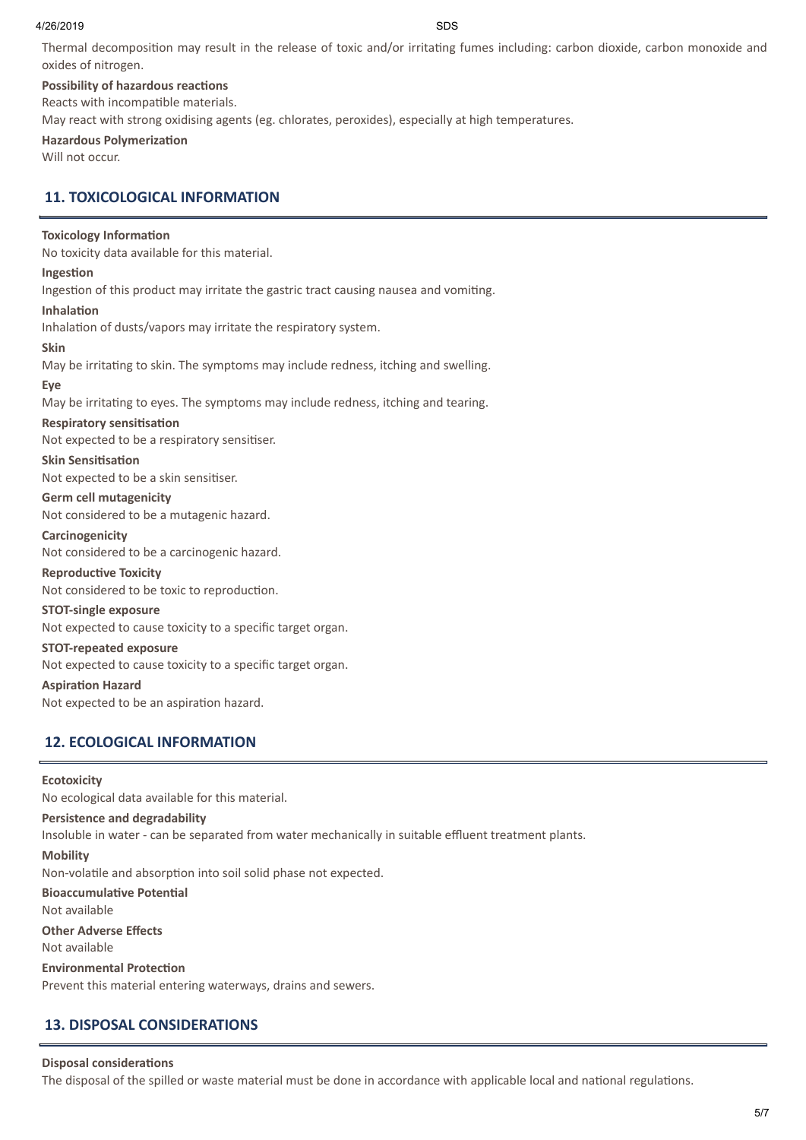#### 4/26/2019 SDS

Thermal decomposition may result in the release of toxic and/or irritating fumes including: carbon dioxide, carbon monoxide and oxides of nitrogen.

#### **Possibility of hazardous reactions**

Reacts with incompatible materials.

May react with strong oxidising agents (eg. chlorates, peroxides), especially at high temperatures.

### **Hazardous Polymerization**

Will not occur.

# **11. TOXICOLOGICAL INFORMATION**

#### **Toxicology Information**

No toxicity data available for this material.

#### **Ingestion**

Ingestion of this product may irritate the gastric tract causing nausea and vomiting.

#### **Inhalation**

Inhalation of dusts/vapors may irritate the respiratory system.

#### **Skin**

May be irritating to skin. The symptoms may include redness, itching and swelling.

#### **Eye**

May be irritating to eyes. The symptoms may include redness, itching and tearing.

#### **Respiratory** sensitisation

Not expected to be a respiratory sensitiser.

#### **Skin Sensitisation**

Not expected to be a skin sensitiser.

**Germ cell mutagenicity** Not considered to be a mutagenic hazard.

#### **Carcinogenicity**

Not considered to be a carcinogenic hazard.

#### **Reproductive Toxicity**

Not considered to be toxic to reproduction.

#### **STOT-single exposure**

Not expected to cause toxicity to a specific target organ.

#### **STOT-repeated exposure**

Not expected to cause toxicity to a specific target organ.

#### **Aspiration Hazard**

Not expected to be an aspiration hazard.

# **12. ECOLOGICAL INFORMATION**

#### **Ecotoxicity**

No ecological data available for this material.

#### **Persistence and degradability**

Insoluble in water - can be separated from water mechanically in suitable effluent treatment plants.

#### **Mobility**

Non-volatile and absorption into soil solid phase not expected.

**Bioaccumulative Potential** 

Not available

**Other Adverse Effects**

# Not available

#### **Environmental Protection**

Prevent this material entering waterways, drains and sewers.

# **13. DISPOSAL CONSIDERATIONS**

#### **Disposal considerations**

The disposal of the spilled or waste material must be done in accordance with applicable local and national regulations.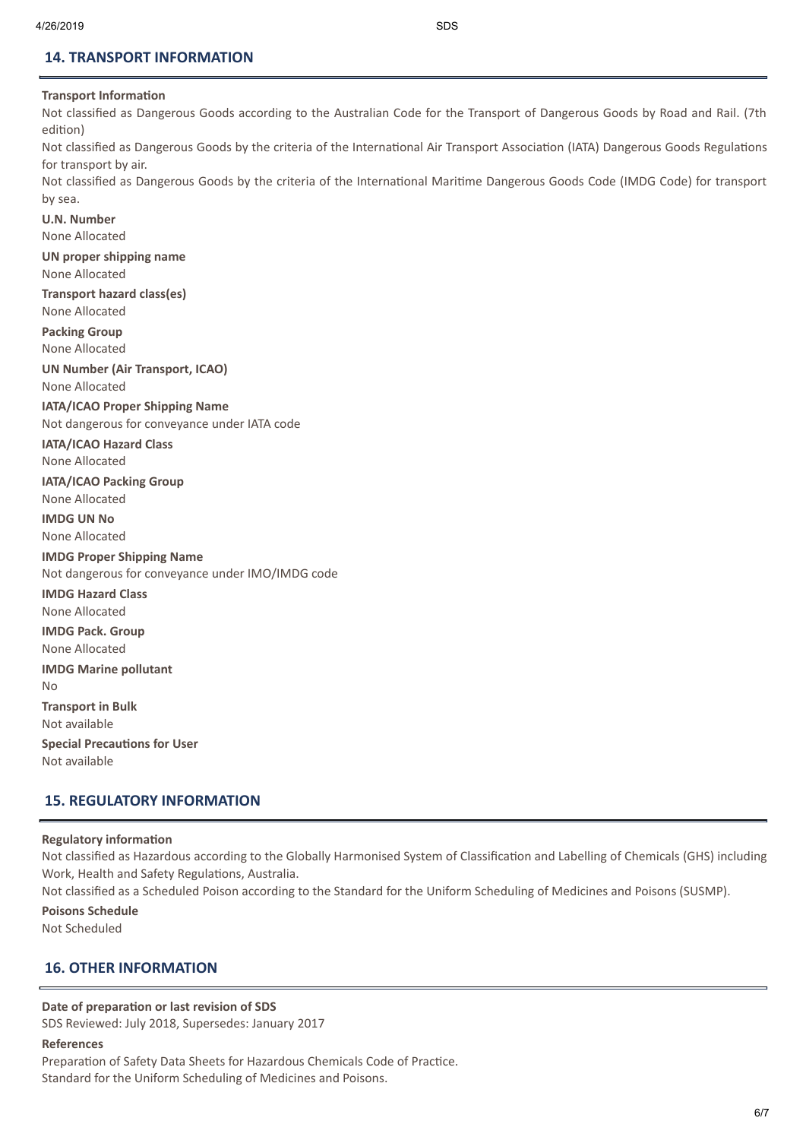# **14. TRANSPORT INFORMATION**

## **Transport Information**

Not classified as Dangerous Goods according to the Australian Code for the Transport of Dangerous Goods by Road and Rail. (7th edition)

Not classified as Dangerous Goods by the criteria of the International Air Transport Association (IATA) Dangerous Goods Regulations for transport by air.

Not classified as Dangerous Goods by the criteria of the International Maritime Dangerous Goods Code (IMDG Code) for transport by sea.

**U.N. Number** None Allocated **UN proper shipping name** None Allocated **Transport hazard class(es)** None Allocated **Packing Group** None Allocated **UN Number (Air Transport, ICAO)** None Allocated **IATA/ICAO Proper Shipping Name** Not dangerous for conveyance under IATA code **IATA/ICAO Hazard Class** None Allocated **IATA/ICAO Packing Group** None Allocated **IMDG UN No** None Allocated **IMDG Proper Shipping Name** Not dangerous for conveyance under IMO/IMDG code **IMDG Hazard Class** None Allocated **IMDG Pack. Group** None Allocated **IMDG Marine pollutant** No **Transport in Bulk** Not available **Special Precautions for User** Not available

# **15. REGULATORY INFORMATION**

#### **Regulatory information**

Not classified as Hazardous according to the Globally Harmonised System of Classification and Labelling of Chemicals (GHS) including Work, Health and Safety Regulations, Australia.

Not classified as a Scheduled Poison according to the Standard for the Uniform Scheduling of Medicines and Poisons (SUSMP).

#### **Poisons Schedule**

Not Scheduled

## **16. OTHER INFORMATION**

#### **Date** of preparation or last revision of SDS

SDS Reviewed: July 2018, Supersedes: January 2017

#### **References**

Preparation of Safety Data Sheets for Hazardous Chemicals Code of Practice. Standard for the Uniform Scheduling of Medicines and Poisons.